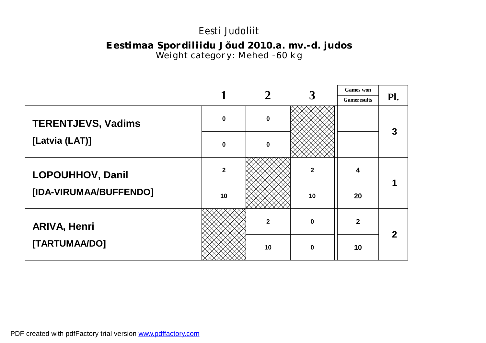### *Eestimaa Spordiliidu Jõud 2010.a. mv.-d. judos Weight category: Mehed -60 kg*

|                           |                |              |              | <b>Games</b> won   |     |
|---------------------------|----------------|--------------|--------------|--------------------|-----|
|                           |                |              |              | <b>Gameresults</b> | Pl. |
| <b>TERENTJEVS, Vadims</b> | $\mathbf 0$    | $\bf{0}$     |              |                    | 3   |
| [Latvia (LAT)]            | $\mathbf 0$    | $\bf{0}$     |              |                    |     |
| <b>LOPOUHHOV, Danil</b>   | $\overline{2}$ |              | $\mathbf{2}$ | 4                  |     |
| [IDA-VIRUMAA/BUFFENDO]    | 10             |              | 10           | 20                 |     |
| <b>ARIVA, Henri</b>       |                | $\mathbf{2}$ | $\mathbf 0$  | $\overline{2}$     |     |
| [TARTUMAA/DO]             |                | 10           | $\bf{0}$     | 10                 |     |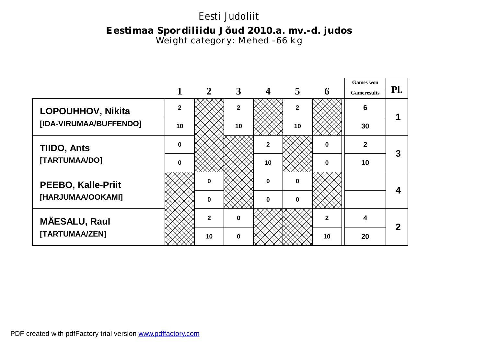## *Eestimaa Spordiliidu Jõud 2010.a. mv.-d. judos Weight category: Mehed -66 kg*

|                           |                |              |              |                |                |              | <b>Games</b> won   |             |
|---------------------------|----------------|--------------|--------------|----------------|----------------|--------------|--------------------|-------------|
|                           |                |              | 3            |                | 5              | 6            | <b>Gameresults</b> | Pl.         |
| <b>LOPOUHHOV, Nikita</b>  | $\overline{2}$ |              | $\mathbf{2}$ |                | $\overline{2}$ |              | 6                  |             |
| [IDA-VIRUMAA/BUFFENDO]    | 10             |              | 10           |                | 10             |              | 30                 |             |
| <b>TIIDO, Ants</b>        | $\Omega$       |              |              | $\overline{2}$ |                | $\mathbf 0$  | $\mathbf{2}$       | 3           |
| [TARTUMAA/DO]             | $\Omega$       |              |              | 10             |                | $\mathbf 0$  | 10                 |             |
| <b>PEEBO, Kalle-Priit</b> |                | ŋ            |              | $\mathbf 0$    | $\bf{0}$       |              |                    |             |
| [HARJUMAA/OOKAMI]         |                | $\bf{0}$     |              | $\mathbf 0$    | $\bf{0}$       |              |                    |             |
| <b>MÄESALU, Raul</b>      |                | $\mathbf{2}$ | $\mathbf{0}$ |                |                | $\mathbf{2}$ | 4                  | $\mathbf 2$ |
| [TARTUMAA/ZEN]            |                | 10           | $\mathbf 0$  |                |                | 10           | 20                 |             |

PDF created with pdfFactory trial version [www.pdffactory.com](http://www.pdffactory.com)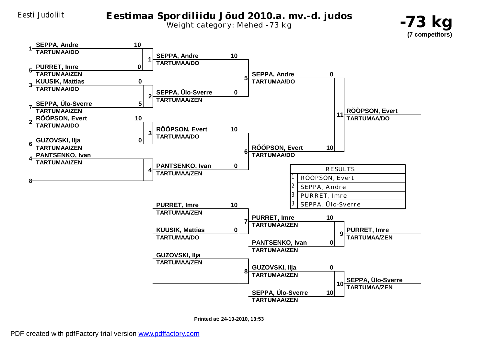

Eesti Judoliit *Eestimaa Spordiliidu Jõud 2010.a. mv.-d. judos Weight category: Mehed -73 kg*





**Printed at: 24-10-2010, 13:53**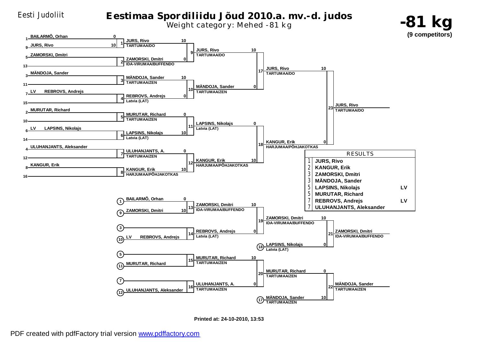#### Eesti Judoliit *Eestimaa Spordiliidu Jõud 2010.a. mv.-d. judos Weight category: Mehed -81 kg*





**Printed at: 24-10-2010, 13:53**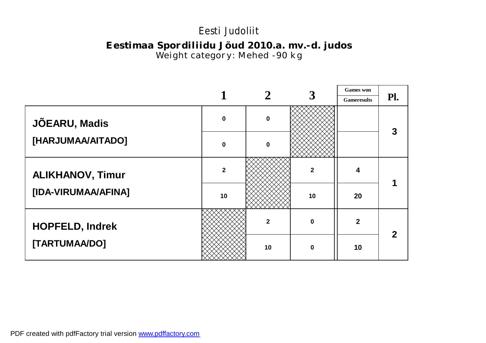### *Eestimaa Spordiliidu Jõud 2010.a. mv.-d. judos Weight category: Mehed -90 kg*

|                         |                |              | 3            | <b>Games</b> won   |     |
|-------------------------|----------------|--------------|--------------|--------------------|-----|
|                         |                |              |              | <b>Gameresults</b> | Pl. |
| JÕEARU, Madis           | $\mathbf 0$    | $\mathbf 0$  |              |                    | 3   |
| [HARJUMAA/AITADO]       | $\mathbf 0$    | $\bf{0}$     |              |                    |     |
| <b>ALIKHANOV, Timur</b> | $\overline{2}$ |              | $\mathbf{2}$ | 4                  |     |
| [IDA-VIRUMAA/AFINA]     | 10             |              | 10           | 20                 |     |
| <b>HOPFELD, Indrek</b>  |                | $\mathbf{2}$ | $\mathbf{0}$ | $\mathbf{2}$       |     |
| [TARTUMAA/DO]           |                | 10           | $\mathbf{0}$ | 10                 |     |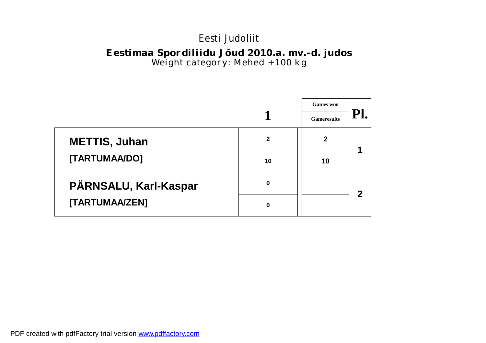### *Eestimaa Spordiliidu Jõud 2010.a. mv.-d. judos Weight category: Mehed +100 kg*

|                       |              | <b>Games</b> won<br><b>Gameresults</b> |             |
|-----------------------|--------------|----------------------------------------|-------------|
| <b>METTIS, Juhan</b>  | $\mathbf{2}$ | $\mathbf{2}$                           |             |
| [TARTUMAA/DO]         | 10           | 10                                     |             |
| PÄRNSALU, Karl-Kaspar | 0            |                                        | $\mathbf 2$ |
| [TARTUMAA/ZEN]        | 0            |                                        |             |

PDF created with pdfFactory trial version [www.pdffactory.com](http://www.pdffactory.com)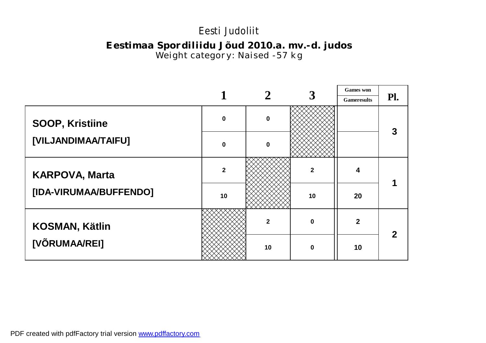### *Eestimaa Spordiliidu Jõud 2010.a. mv.-d. judos Weight category: Naised -57 kg*

|                        |              |              |              | <b>Games</b> won   |     |
|------------------------|--------------|--------------|--------------|--------------------|-----|
|                        |              |              |              | <b>Gameresults</b> | Pl. |
| <b>SOOP, Kristiine</b> | $\mathbf 0$  | $\mathbf 0$  |              |                    | 3   |
| [VILJANDIMAA/TAIFU]    | $\mathbf 0$  | $\bf{0}$     |              |                    |     |
| <b>KARPOVA, Marta</b>  | $\mathbf{2}$ |              | $\mathbf{2}$ | 4                  |     |
| [IDA-VIRUMAA/BUFFENDO] | 10           |              | 10           | 20                 |     |
| <b>KOSMAN, Kätlin</b>  |              | $\mathbf{2}$ | $\bf{0}$     | $\overline{2}$     |     |
| [VÕRUMAA/REI]          |              | 10           | $\mathbf{0}$ | 10                 |     |